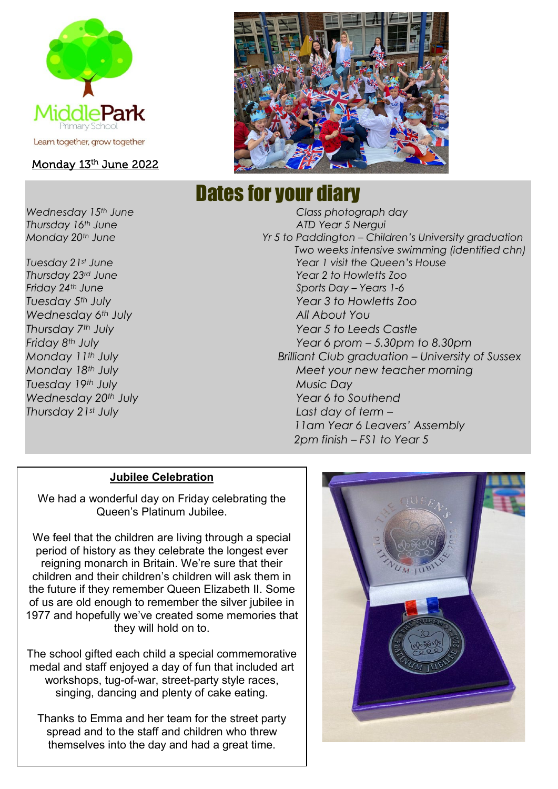

#### Monday 13th June 2022

*Wednesday 6th July All About You Tuesday 19th July Music Day*



# Dates for your diary

*Wednesday 15th June Class photograph day Thursday 16th June ATD Year 5 Nergui Monday 20th June Yr 5 to Paddington – Children's University graduation Two weeks intensive swimming (identified chn) Tuesday 21st June Year 1 visit the Queen's House Thursday 23rd June Year 2 to Howletts Zoo Friday 24th June Sports Day – Years 1-6 Tuesday 5th July Year 3 to Howletts Zoo Thursday 7th July Year 5 to Leeds Castle Friday 8th July Year 6 prom – 5.30pm to 8.30pm Monday 11th July Brilliant Club graduation – University of Sussex Monday 18th July Meet your new teacher morning Wednesday 20th July Year 6 to Southend Thursday 21st July Last day of term – 11am Year 6 Leavers' Assembly 2pm finish – FS1 to Year 5*

#### **Jubilee Celebration**

We had a wonderful day on Friday celebrating the Queen's Platinum Jubilee.

We feel that the children are living through a special period of history as they celebrate the longest ever reigning monarch in Britain. We're sure that their children and their children's children will ask them in the future if they remember Queen Elizabeth II. Some of us are old enough to remember the silver jubilee in 1977 and hopefully we've created some memories that they will hold on to.

The school gifted each child a special commemorative medal and staff enjoyed a day of fun that included art workshops, tug-of-war, street-party style races, singing, dancing and plenty of cake eating.

Thanks to Emma and her team for the street party spread and to the staff and children who threw themselves into the day and had a great time.